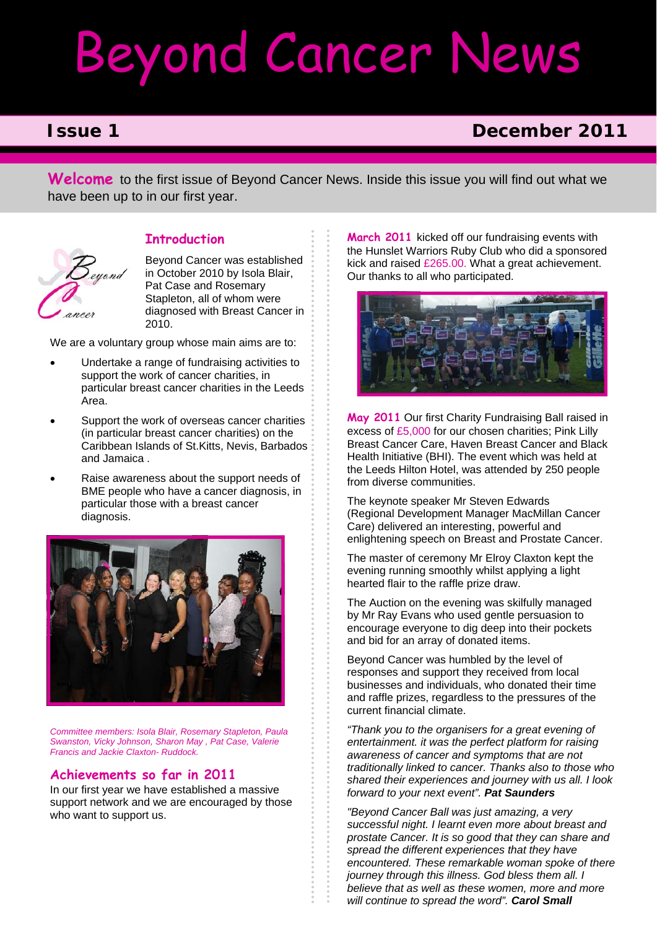# Beyond Cancer News

eyond

## **Issue 1** December 2011

**Welcome** to the first issue of Beyond Cancer News. Inside this issue you will find out what we have been up to in our first year.

### **Introduction**

Beyond Cancer was established in October 2010 by Isola Blair, Pat Case and Rosemary Stapleton, all of whom were diagnosed with Breast Cancer in 2010.

We are a voluntary group whose main aims are to:

- Undertake a range of fundraising activities to support the work of cancer charities, in particular breast cancer charities in the Leeds Area.
- Support the work of overseas cancer charities (in particular breast cancer charities) on the Caribbean Islands of St.Kitts, Nevis, Barbados and Jamaica .
- Raise awareness about the support needs of BME people who have a cancer diagnosis, in particular those with a breast cancer diagnosis.



*Committee members: Isola Blair, Rosemary Stapleton, Paula Swanston, Vicky Johnson, Sharon May , Pat Case, Valerie Francis and Jackie Claxton- Ruddock.* 

#### **Achievements so far in 2011**

In our first year we have established a massive support network and we are encouraged by those who want to support us.

**March 2011** kicked off our fundraising events with the Hunslet Warriors Ruby Club who did a sponsored kick and raised £265.00. What a great achievement. Our thanks to all who participated.



**May 2011** Our first Charity Fundraising Ball raised in excess of £5,000 for our chosen charities; Pink Lilly Breast Cancer Care, Haven Breast Cancer and Black Health Initiative (BHI). The event which was held at the Leeds Hilton Hotel, was attended by 250 people from diverse communities.

The keynote speaker Mr Steven Edwards (Regional Development Manager MacMillan Cancer Care) delivered an interesting, powerful and enlightening speech on Breast and Prostate Cancer.

The master of ceremony Mr Elroy Claxton kept the evening running smoothly whilst applying a light hearted flair to the raffle prize draw.

The Auction on the evening was skilfully managed by Mr Ray Evans who used gentle persuasion to encourage everyone to dig deep into their pockets and bid for an array of donated items.

Beyond Cancer was humbled by the level of responses and support they received from local businesses and individuals, who donated their time and raffle prizes, regardless to the pressures of the current financial climate.

*"Thank you to the organisers for a great evening of entertainment. it was the perfect platform for raising awareness of cancer and symptoms that are not traditionally linked to cancer. Thanks also to those who shared their experiences and journey with us all. I look forward to your next event". Pat Saunders*

*"Beyond Cancer Ball was just amazing, a very successful night. I learnt even more about breast and prostate Cancer. It is so good that they can share and spread the different experiences that they have encountered. These remarkable woman spoke of there journey through this illness. God bless them all. I believe that as well as these women, more and more will continue to spread the word". Carol Small*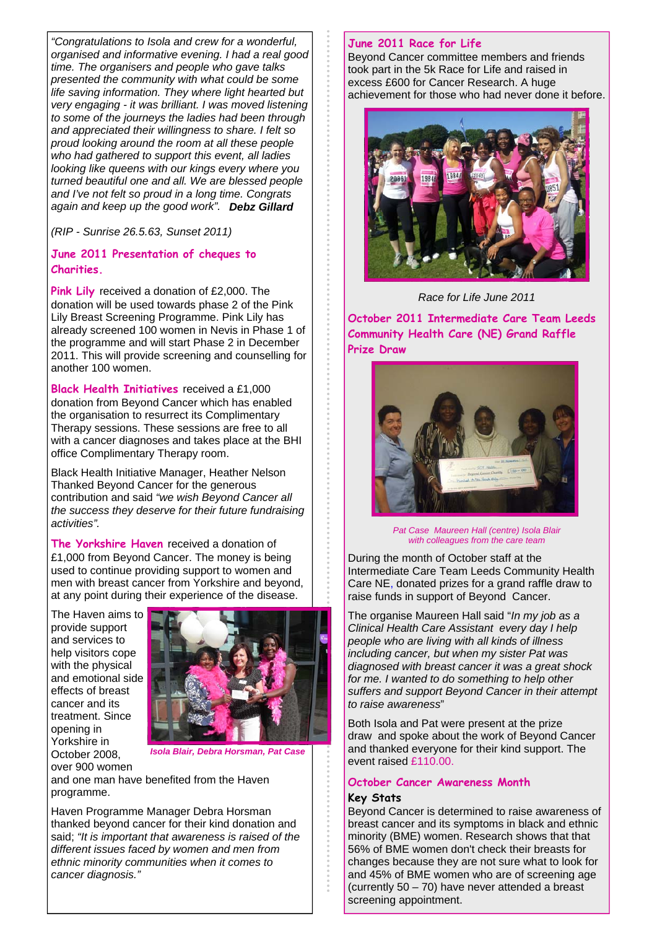*"Congratulations to Isola and crew for a wonderful, organised and informative evening. I had a real good time. The organisers and people who gave talks presented the community with what could be some life saving information. They where light hearted but very engaging - it was brilliant. I was moved listening to some of the journeys the ladies had been through and appreciated their willingness to share. I felt so proud looking around the room at all these people who had gathered to support this event, all ladies looking like queens with our kings every where you turned beautiful one and all. We are blessed people and I've not felt so proud in a long time. Congrats again and keep up the good work". Debz Gillard* 

*(RIP - Sunrise 26.5.63, Sunset 2011)* 

#### **June 2011 Presentation of cheques to Charities.**

**Pink Lily** received a donation of £2,000. The donation will be used towards phase 2 of the Pink Lily Breast Screening Programme. Pink Lily has already screened 100 women in Nevis in Phase 1 of the programme and will start Phase 2 in December 2011. This will provide screening and counselling for another 100 women.

**Black Health Initiatives** received a £1,000 donation from Beyond Cancer which has enabled the organisation to resurrect its Complimentary Therapy sessions. These sessions are free to all with a cancer diagnoses and takes place at the BHI office Complimentary Therapy room.

Black Health Initiative Manager, Heather Nelson Thanked Beyond Cancer for the generous contribution and said *"we wish Beyond Cancer all the success they deserve for their future fundraising activities".* 

**The Yorkshire Haven** received a donation of £1,000 from Beyond Cancer. The money is being used to continue providing support to women and men with breast cancer from Yorkshire and beyond, at any point during their experience of the disease.

The Haven aims to provide support and services to help visitors cope with the physical and emotional side effects of breast cancer and its treatment. Since opening in Yorkshire in October 2008, over 900 women



*Isola Blair, Debra Horsman, Pat Case* 

and one man have benefited from the Haven programme.

Haven Programme Manager Debra Horsman thanked beyond cancer for their kind donation and said; *"It is important that awareness is raised of the different issues faced by women and men from ethnic minority communities when it comes to cancer diagnosis."* 

#### **June 2011 Race for Life**

Beyond Cancer committee members and friends took part in the 5k Race for Life and raised in excess £600 for Cancer Research. A huge achievement for those who had never done it before.



*Race for Life June 2011* 

**October 2011 Intermediate Care Team Leeds Community Health Care (NE) Grand Raffle Prize Draw** 



*Pat Case Maureen Hall (centre) Isola Blair with colleagues from the care team* 

During the month of October staff at the Intermediate Care Team Leeds Community Health Care NE, donated prizes for a grand raffle draw to raise funds in support of Beyond Cancer.

The organise Maureen Hall said "*In my job as a Clinical Health Care Assistant every day I help people who are living with all kinds of illness including cancer, but when my sister Pat was diagnosed with breast cancer it was a great shock for me. I wanted to do something to help other suffers and support Beyond Cancer in their attempt to raise awareness*"

Both Isola and Pat were present at the prize draw and spoke about the work of Beyond Cancer and thanked everyone for their kind support. The event raised £110.00.

#### **October Cancer Awareness Month**

#### **Key Stats**

Beyond Cancer is determined to raise awareness of breast cancer and its symptoms in black and ethnic minority (BME) women. Research shows that that 56% of BME women don't check their breasts for changes because they are not sure what to look for and 45% of BME women who are of screening age (currently 50 – 70) have never attended a breast screening appointment.